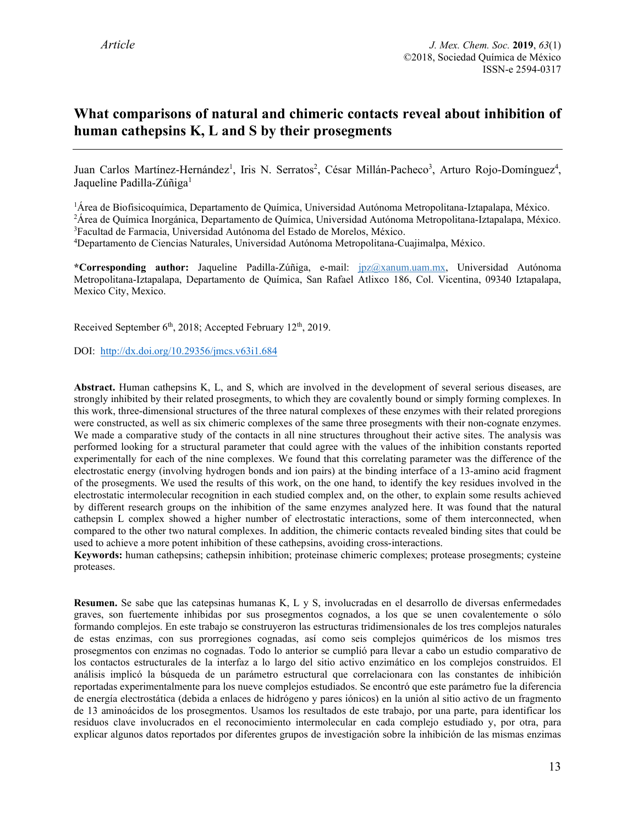# **What comparisons of natural and chimeric contacts reveal about inhibition of human cathepsins K, L and S by their prosegments**

Juan Carlos Martínez-Hernández<sup>1</sup>, Iris N. Serratos<sup>2</sup>, César Millán-Pacheco<sup>3</sup>, Arturo Rojo-Domínguez<sup>4</sup>, Jaqueline Padilla-Zúñiga<sup>1</sup>

<sup>1</sup>Área de Biofisicoquímica, Departamento de Química, Universidad Autónoma Metropolitana-Iztapalapa, México.

<sup>2</sup>Área de Química Inorgánica, Departamento de Química, Universidad Autónoma Metropolitana-Iztapalapa, México. 3 Facultad de Farmacia, Universidad Autónoma del Estado de Morelos, México.

4 Departamento de Ciencias Naturales, Universidad Autónoma Metropolitana-Cuajimalpa, México.

**\*Corresponding author:** Jaqueline Padilla-Zúñiga, e-mail: [jpz@xanum.uam.mx,](mailto:jpz@xanum.uam.mx) Universidad Autónoma Metropolitana-Iztapalapa, Departamento de Química, San Rafael Atlixco 186, Col. Vicentina, 09340 Iztapalapa, Mexico City, Mexico.

Received September 6<sup>th</sup>, 2018; Accepted February 12<sup>th</sup>, 2019.

DOI: [http://dx.doi.org/10.29356/jmcs.v63i1.684](http://dx.doi.org/10.29356/jmcs.v62i4.684) 

**Abstract.** Human cathepsins K, L, and S, which are involved in the development of several serious diseases, are strongly inhibited by their related prosegments, to which they are covalently bound or simply forming complexes. In this work, three-dimensional structures of the three natural complexes of these enzymes with their related proregions were constructed, as well as six chimeric complexes of the same three prosegments with their non-cognate enzymes. We made a comparative study of the contacts in all nine structures throughout their active sites. The analysis was performed looking for a structural parameter that could agree with the values of the inhibition constants reported experimentally for each of the nine complexes. We found that this correlating parameter was the difference of the electrostatic energy (involving hydrogen bonds and ion pairs) at the binding interface of a 13-amino acid fragment of the prosegments. We used the results of this work, on the one hand, to identify the key residues involved in the electrostatic intermolecular recognition in each studied complex and, on the other, to explain some results achieved by different research groups on the inhibition of the same enzymes analyzed here. It was found that the natural cathepsin L complex showed a higher number of electrostatic interactions, some of them interconnected, when compared to the other two natural complexes. In addition, the chimeric contacts revealed binding sites that could be used to achieve a more potent inhibition of these cathepsins, avoiding cross-interactions.

**Keywords:** human cathepsins; cathepsin inhibition; proteinase chimeric complexes; protease prosegments; cysteine proteases.

**Resumen.** Se sabe que las catepsinas humanas K, L y S, involucradas en el desarrollo de diversas enfermedades graves, son fuertemente inhibidas por sus prosegmentos cognados, a los que se unen covalentemente o sólo formando complejos. En este trabajo se construyeron las estructuras tridimensionales de los tres complejos naturales de estas enzimas, con sus prorregiones cognadas, así como seis complejos quiméricos de los mismos tres prosegmentos con enzimas no cognadas. Todo lo anterior se cumplió para llevar a cabo un estudio comparativo de los contactos estructurales de la interfaz a lo largo del sitio activo enzimático en los complejos construidos. El análisis implicó la búsqueda de un parámetro estructural que correlacionara con las constantes de inhibición reportadas experimentalmente para los nueve complejos estudiados. Se encontró que este parámetro fue la diferencia de energía electrostática (debida a enlaces de hidrógeno y pares iónicos) en la unión al sitio activo de un fragmento de 13 aminoácidos de los prosegmentos. Usamos los resultados de este trabajo, por una parte, para identificar los residuos clave involucrados en el reconocimiento intermolecular en cada complejo estudiado y, por otra, para explicar algunos datos reportados por diferentes grupos de investigación sobre la inhibición de las mismas enzimas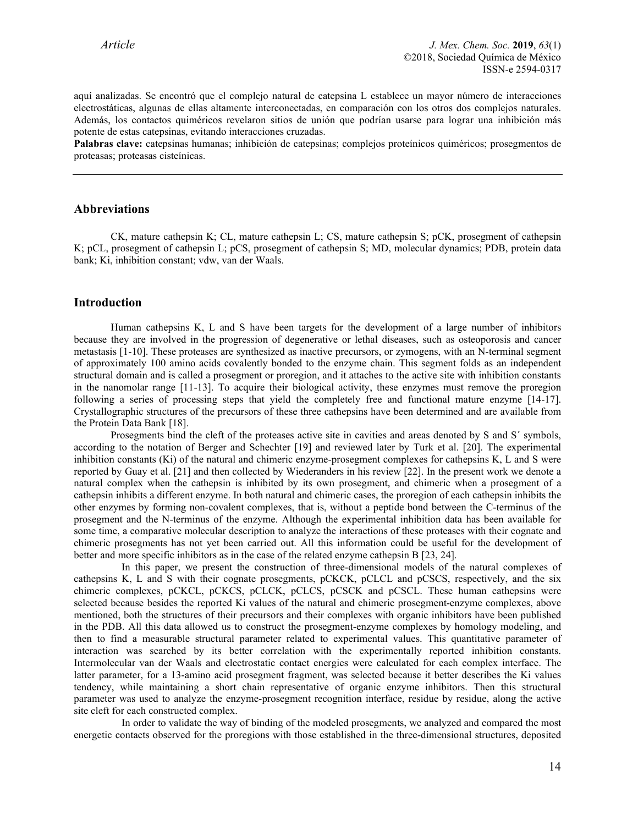aquí analizadas. Se encontró que el complejo natural de catepsina L establece un mayor número de interacciones electrostáticas, algunas de ellas altamente interconectadas, en comparación con los otros dos complejos naturales. Además, los contactos quiméricos revelaron sitios de unión que podrían usarse para lograr una inhibición más potente de estas catepsinas, evitando interacciones cruzadas.

**Palabras clave:** catepsinas humanas; inhibición de catepsinas; complejos proteínicos quiméricos; prosegmentos de proteasas; proteasas cisteínicas.

### **Abbreviations**

CK, mature cathepsin K; CL, mature cathepsin L; CS, mature cathepsin S; pCK, prosegment of cathepsin K; pCL, prosegment of cathepsin L; pCS, prosegment of cathepsin S; MD, molecular dynamics; PDB, protein data bank; Ki, inhibition constant; vdw, van der Waals.

#### **Introduction**

Human cathepsins K, L and S have been targets for the development of a large number of inhibitors because they are involved in the progression of degenerative or lethal diseases, such as osteoporosis and cancer metastasis [1-10]. These proteases are synthesized as inactive precursors, or zymogens, with an N-terminal segment of approximately 100 amino acids covalently bonded to the enzyme chain. This segment folds as an independent structural domain and is called a prosegment or proregion, and it attaches to the active site with inhibition constants in the nanomolar range [11-13]. To acquire their biological activity, these enzymes must remove the proregion following a series of processing steps that yield the completely free and functional mature enzyme [14-17]. Crystallographic structures of the precursors of these three cathepsins have been determined and are available from the Protein Data Bank [18].

Prosegments bind the cleft of the proteases active site in cavities and areas denoted by S and S´ symbols, according to the notation of Berger and Schechter [19] and reviewed later by Turk et al. [20]. The experimental inhibition constants (Ki) of the natural and chimeric enzyme-prosegment complexes for cathepsins K, L and S were reported by Guay et al. [21] and then collected by Wiederanders in his review [22]. In the present work we denote a natural complex when the cathepsin is inhibited by its own prosegment, and chimeric when a prosegment of a cathepsin inhibits a different enzyme. In both natural and chimeric cases, the proregion of each cathepsin inhibits the other enzymes by forming non-covalent complexes, that is, without a peptide bond between the C-terminus of the prosegment and the N-terminus of the enzyme. Although the experimental inhibition data has been available for some time, a comparative molecular description to analyze the interactions of these proteases with their cognate and chimeric prosegments has not yet been carried out. All this information could be useful for the development of better and more specific inhibitors as in the case of the related enzyme cathepsin B [23, 24].

In this paper, we present the construction of three-dimensional models of the natural complexes of cathepsins K, L and S with their cognate prosegments, pCKCK, pCLCL and pCSCS, respectively, and the six chimeric complexes, pCKCL, pCKCS, pCLCK, pCLCS, pCSCK and pCSCL. These human cathepsins were selected because besides the reported Ki values of the natural and chimeric prosegment-enzyme complexes, above mentioned, both the structures of their precursors and their complexes with organic inhibitors have been published in the PDB. All this data allowed us to construct the prosegment-enzyme complexes by homology modeling, and then to find a measurable structural parameter related to experimental values. This quantitative parameter of interaction was searched by its better correlation with the experimentally reported inhibition constants. Intermolecular van der Waals and electrostatic contact energies were calculated for each complex interface. The latter parameter, for a 13-amino acid prosegment fragment, was selected because it better describes the Ki values tendency, while maintaining a short chain representative of organic enzyme inhibitors. Then this structural parameter was used to analyze the enzyme-prosegment recognition interface, residue by residue, along the active site cleft for each constructed complex.

In order to validate the way of binding of the modeled prosegments, we analyzed and compared the most energetic contacts observed for the proregions with those established in the three-dimensional structures, deposited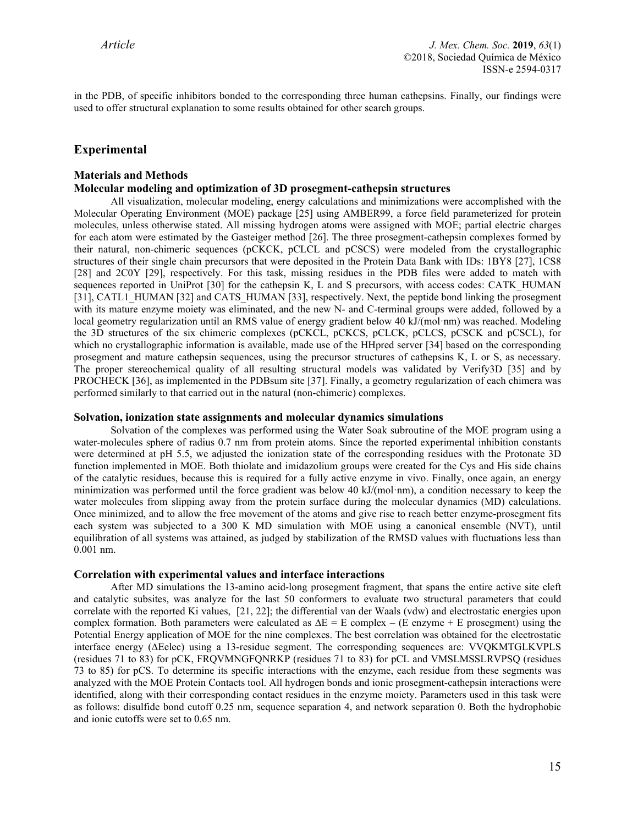in the PDB, of specific inhibitors bonded to the corresponding three human cathepsins. Finally, our findings were used to offer structural explanation to some results obtained for other search groups.

# **Experimental**

#### **Materials and Methods**

## **Molecular modeling and optimization of 3D prosegment-cathepsin structures**

All visualization, molecular modeling, energy calculations and minimizations were accomplished with the Molecular Operating Environment (MOE) package [25] using AMBER99, a force field parameterized for protein molecules, unless otherwise stated. All missing hydrogen atoms were assigned with MOE; partial electric charges for each atom were estimated by the Gasteiger method [26]. The three prosegment-cathepsin complexes formed by their natural, non-chimeric sequences (pCKCK, pCLCL and pCSCS) were modeled from the crystallographic structures of their single chain precursors that were deposited in the Protein Data Bank with IDs: 1BY8 [27], 1CS8 [28] and 2C0Y [29], respectively. For this task, missing residues in the PDB files were added to match with sequences reported in UniProt [30] for the cathepsin K, L and S precursors, with access codes: CATK\_HUMAN [31], CATL1\_HUMAN [32] and CATS\_HUMAN [33], respectively. Next, the peptide bond linking the prosegment with its mature enzyme moiety was eliminated, and the new N- and C-terminal groups were added, followed by a local geometry regularization until an RMS value of energy gradient below 40 kJ/(mol·nm) was reached. Modeling the 3D structures of the six chimeric complexes (pCKCL, pCKCS, pCLCK, pCLCS, pCSCK and pCSCL), for which no crystallographic information is available, made use of the HHpred server [34] based on the corresponding prosegment and mature cathepsin sequences, using the precursor structures of cathepsins K, L or S, as necessary. The proper stereochemical quality of all resulting structural models was validated by Verify3D [35] and by PROCHECK [36], as implemented in the PDBsum site [37]. Finally, a geometry regularization of each chimera was performed similarly to that carried out in the natural (non-chimeric) complexes.

### **Solvation, ionization state assignments and molecular dynamics simulations**

Solvation of the complexes was performed using the Water Soak subroutine of the MOE program using a water-molecules sphere of radius 0.7 nm from protein atoms. Since the reported experimental inhibition constants were determined at pH 5.5, we adjusted the ionization state of the corresponding residues with the Protonate 3D function implemented in MOE. Both thiolate and imidazolium groups were created for the Cys and His side chains of the catalytic residues, because this is required for a fully active enzyme in vivo. Finally, once again, an energy minimization was performed until the force gradient was below 40 kJ/(mol·nm), a condition necessary to keep the water molecules from slipping away from the protein surface during the molecular dynamics (MD) calculations. Once minimized, and to allow the free movement of the atoms and give rise to reach better enzyme-prosegment fits each system was subjected to a 300 K MD simulation with MOE using a canonical ensemble (NVT), until equilibration of all systems was attained, as judged by stabilization of the RMSD values with fluctuations less than 0.001 nm.

#### **Correlation with experimental values and interface interactions**

After MD simulations the 13-amino acid-long prosegment fragment, that spans the entire active site cleft and catalytic subsites, was analyze for the last 50 conformers to evaluate two structural parameters that could correlate with the reported Ki values, [21, 22]; the differential van der Waals (vdw) and electrostatic energies upon complex formation. Both parameters were calculated as  $\Delta E = E$  complex – (E enzyme + E prosegment) using the Potential Energy application of MOE for the nine complexes. The best correlation was obtained for the electrostatic interface energy (∆Eelec) using a 13-residue segment. The corresponding sequences are: VVQKMTGLKVPLS (residues 71 to 83) for pCK, FRQVMNGFQNRKP (residues 71 to 83) for pCL and VMSLMSSLRVPSQ (residues 73 to 85) for pCS. To determine its specific interactions with the enzyme, each residue from these segments was analyzed with the MOE Protein Contacts tool. All hydrogen bonds and ionic prosegment-cathepsin interactions were identified, along with their corresponding contact residues in the enzyme moiety. Parameters used in this task were as follows: disulfide bond cutoff 0.25 nm, sequence separation 4, and network separation 0. Both the hydrophobic and ionic cutoffs were set to 0.65 nm.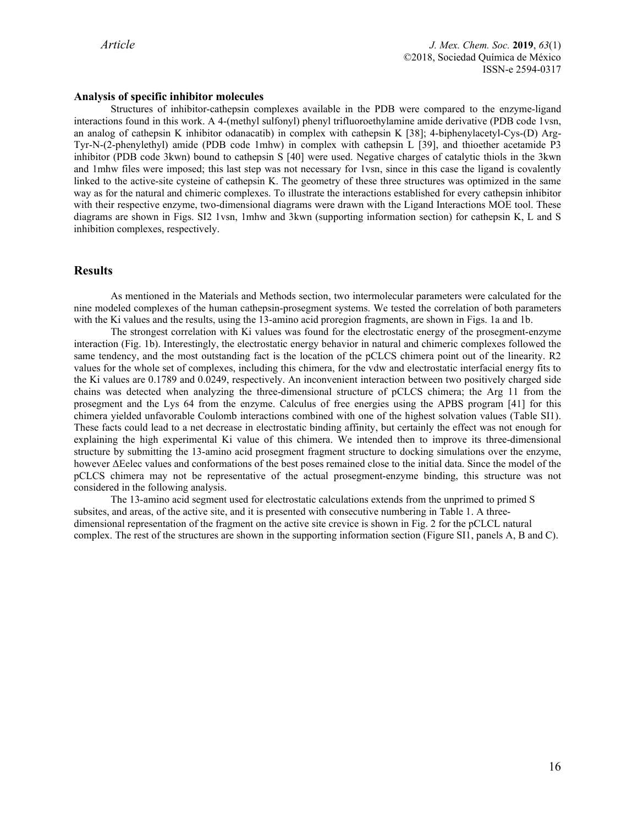### **Analysis of specific inhibitor molecules**

Structures of inhibitor-cathepsin complexes available in the PDB were compared to the enzyme-ligand interactions found in this work. A 4-(methyl sulfonyl) phenyl trifluoroethylamine amide derivative (PDB code 1vsn, an analog of cathepsin K inhibitor odanacatib) in complex with cathepsin K [38]; 4-biphenylacetyl-Cys-(D) Arg-Tyr-N-(2-phenylethyl) amide (PDB code 1mhw) in complex with cathepsin L [39], and thioether acetamide P3 inhibitor (PDB code 3kwn) bound to cathepsin S [40] were used. Negative charges of catalytic thiols in the 3kwn and 1mhw files were imposed; this last step was not necessary for 1vsn, since in this case the ligand is covalently linked to the active-site cysteine of cathepsin K. The geometry of these three structures was optimized in the same way as for the natural and chimeric complexes. To illustrate the interactions established for every cathepsin inhibitor with their respective enzyme, two-dimensional diagrams were drawn with the Ligand Interactions MOE tool. These diagrams are shown in Figs. SI2 1vsn, 1mhw and 3kwn (supporting information section) for cathepsin K, L and S inhibition complexes, respectively.

### **Results**

As mentioned in the Materials and Methods section, two intermolecular parameters were calculated for the nine modeled complexes of the human cathepsin-prosegment systems. We tested the correlation of both parameters with the Ki values and the results, using the 13-amino acid proregion fragments, are shown in Figs. 1a and 1b.

The strongest correlation with Ki values was found for the electrostatic energy of the prosegment-enzyme interaction (Fig. 1b). Interestingly, the electrostatic energy behavior in natural and chimeric complexes followed the same tendency, and the most outstanding fact is the location of the pCLCS chimera point out of the linearity. R2 values for the whole set of complexes, including this chimera, for the vdw and electrostatic interfacial energy fits to the Ki values are 0.1789 and 0.0249, respectively. An inconvenient interaction between two positively charged side chains was detected when analyzing the three-dimensional structure of pCLCS chimera; the Arg 11 from the prosegment and the Lys 64 from the enzyme. Calculus of free energies using the APBS program [41] for this chimera yielded unfavorable Coulomb interactions combined with one of the highest solvation values (Table SI1). These facts could lead to a net decrease in electrostatic binding affinity, but certainly the effect was not enough for explaining the high experimental Ki value of this chimera. We intended then to improve its three-dimensional structure by submitting the 13-amino acid prosegment fragment structure to docking simulations over the enzyme, however ΔEelec values and conformations of the best poses remained close to the initial data. Since the model of the pCLCS chimera may not be representative of the actual prosegment-enzyme binding, this structure was not considered in the following analysis.

The 13-amino acid segment used for electrostatic calculations extends from the unprimed to primed S subsites, and areas, of the active site, and it is presented with consecutive numbering in Table 1. A threedimensional representation of the fragment on the active site crevice is shown in Fig. 2 for the pCLCL natural complex. The rest of the structures are shown in the supporting information section (Figure SI1, panels A, B and C).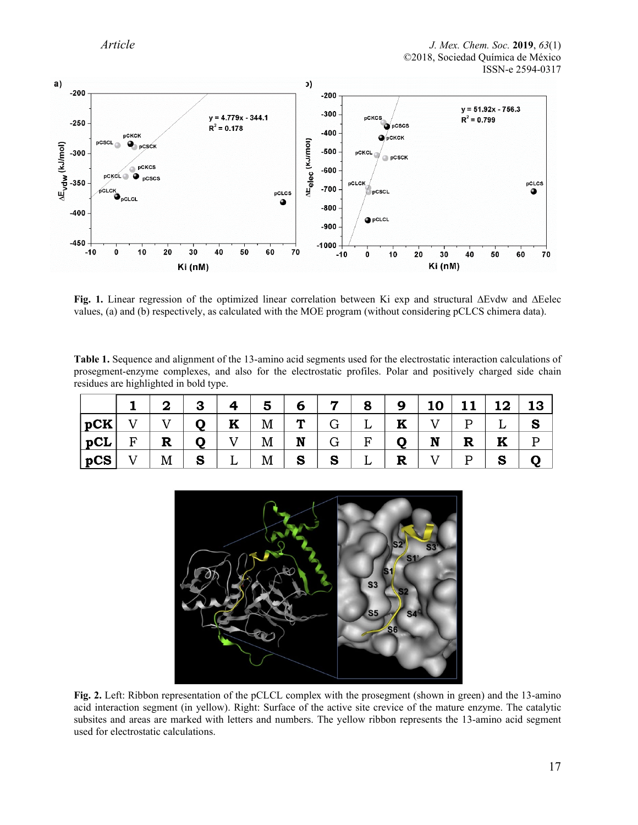

**Fig. 1.** Linear regression of the optimized linear correlation between Ki exp and structural ∆Evdw and ∆Eelec values, (a) and (b) respectively, as calculated with the MOE program (without considering pCLCS chimera data).

**Table 1.** Sequence and alignment of the 13-amino acid segments used for the electrostatic interaction calculations of prosegment-enzyme complexes, and also for the electrostatic profiles. Polar and positively charged side chain residues are highlighted in bold type.

|               |             | 3     |              |              |   |                 | 8                                         | 9 <sup>°</sup>    | 10 <sup>1</sup> | 11           | 12 | 13 |
|---------------|-------------|-------|--------------|--------------|---|-----------------|-------------------------------------------|-------------------|-----------------|--------------|----|----|
| $ {\bf pCK} $ |             | $Q^+$ | $\mathbf{K}$ | M            | T | $G \mid$        | $\begin{array}{cc} \cdot & L \end{array}$ | $\mathbf{K}^{-1}$ |                 | P            |    |    |
| $ pCL $ F     | $\mathbf R$ | Q     |              | $\mathbf{M}$ |   | $N \mid G \mid$ | $F \mid$                                  | Q                 | $\mathbf{N}$    | $\mathbf{R}$ | K  |    |
| pcs           | M           | S     |              | M            | S | S               |                                           | R                 |                 | P            | S  |    |



**Fig. 2.** Left: Ribbon representation of the pCLCL complex with the prosegment (shown in green) and the 13-amino acid interaction segment (in yellow). Right: Surface of the active site crevice of the mature enzyme. The catalytic subsites and areas are marked with letters and numbers. The yellow ribbon represents the 13-amino acid segment used for electrostatic calculations.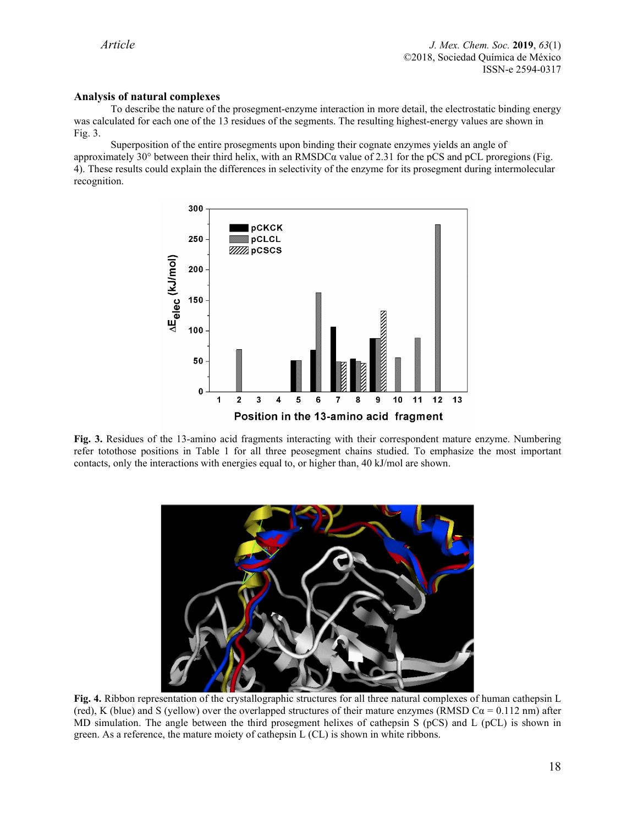### **Analysis of natural complexes**

To describe the nature of the prosegment-enzyme interaction in more detail, the electrostatic binding energy was calculated for each one of the 13 residues of the segments. The resulting highest-energy values are shown in Fig. 3.

Superposition of the entire prosegments upon binding their cognate enzymes yields an angle of approximately 30° between their third helix, with an RMSDC $\alpha$  value of 2.31 for the pCS and pCL proregions (Fig. 4). These results could explain the differences in selectivity of the enzyme for its prosegment during intermolecular recognition.



**Fig. 3.** Residues of the 13-amino acid fragments interacting with their correspondent mature enzyme. Numbering refer totothose positions in Table 1 for all three peosegment chains studied. To emphasize the most important contacts, only the interactions with energies equal to, or higher than, 40 kJ/mol are shown.



**Fig. 4.** Ribbon representation of the crystallographic structures for all three natural complexes of human cathepsin L (red), K (blue) and S (yellow) over the overlapped structures of their mature enzymes (RMSD C $\alpha$  = 0.112 nm) after MD simulation. The angle between the third prosegment helixes of cathepsin S (pCS) and L (pCL) is shown in green. As a reference, the mature moiety of cathepsin L (CL) is shown in white ribbons.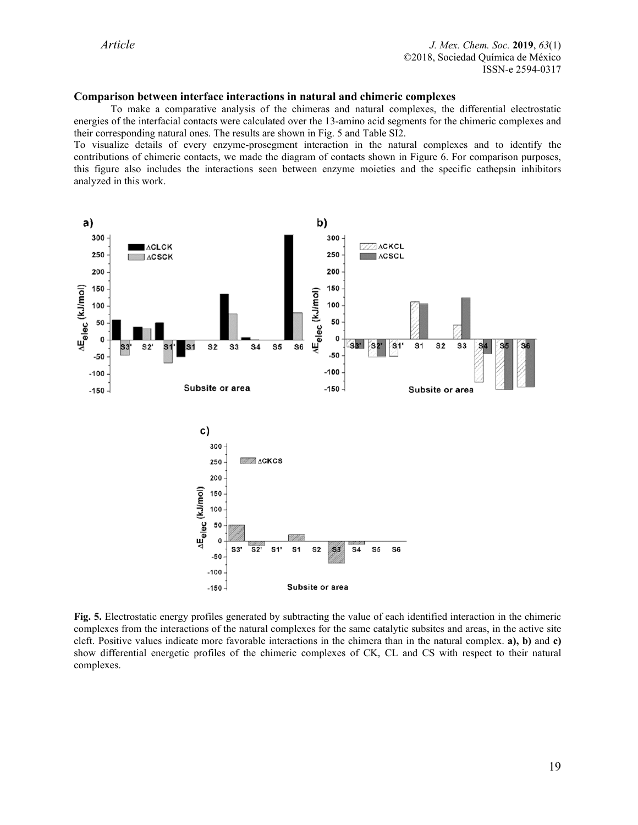### **Comparison between interface interactions in natural and chimeric complexes**

To make a comparative analysis of the chimeras and natural complexes, the differential electrostatic energies of the interfacial contacts were calculated over the 13-amino acid segments for the chimeric complexes and their corresponding natural ones. The results are shown in Fig. 5 and Table SI2.

To visualize details of every enzyme-prosegment interaction in the natural complexes and to identify the contributions of chimeric contacts, we made the diagram of contacts shown in Figure 6. For comparison purposes, this figure also includes the interactions seen between enzyme moieties and the specific cathepsin inhibitors analyzed in this work.



**Fig. 5.** Electrostatic energy profiles generated by subtracting the value of each identified interaction in the chimeric complexes from the interactions of the natural complexes for the same catalytic subsites and areas, in the active site cleft. Positive values indicate more favorable interactions in the chimera than in the natural complex. **a), b)** and **c)** show differential energetic profiles of the chimeric complexes of CK, CL and CS with respect to their natural complexes.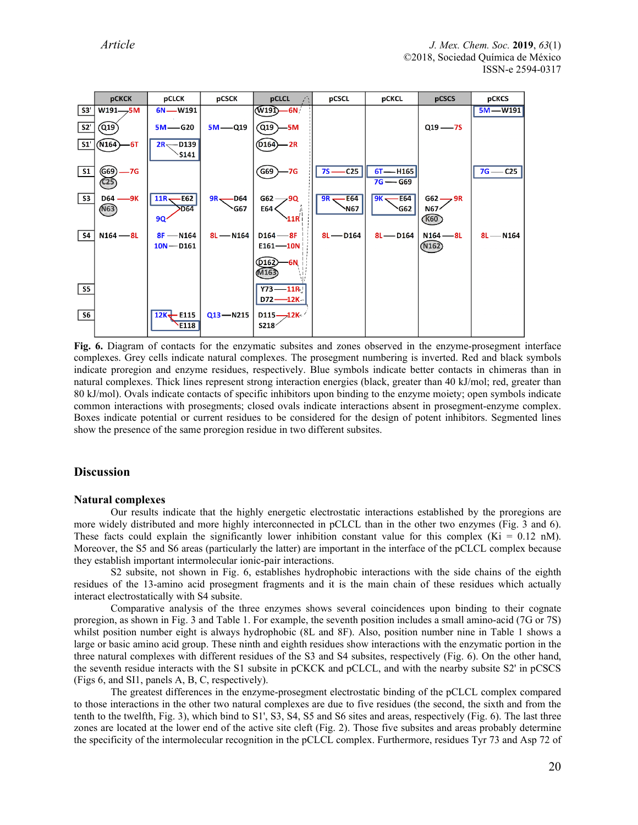

**Fig. 6.** Diagram of contacts for the enzymatic subsites and zones observed in the enzyme-prosegment interface complexes. Grey cells indicate natural complexes. The prosegment numbering is inverted. Red and black symbols indicate proregion and enzyme residues, respectively. Blue symbols indicate better contacts in chimeras than in natural complexes. Thick lines represent strong interaction energies (black, greater than 40 kJ/mol; red, greater than 80 kJ/mol). Ovals indicate contacts of specific inhibitors upon binding to the enzyme moiety; open symbols indicate common interactions with prosegments; closed ovals indicate interactions absent in prosegment-enzyme complex. Boxes indicate potential or current residues to be considered for the design of potent inhibitors. Segmented lines show the presence of the same proregion residue in two different subsites.

## **Discussion**

#### **Natural complexes**

Our results indicate that the highly energetic electrostatic interactions established by the proregions are more widely distributed and more highly interconnected in pCLCL than in the other two enzymes (Fig. 3 and 6). These facts could explain the significantly lower inhibition constant value for this complex  $(Ki = 0.12 \text{ nM})$ . Moreover, the S5 and S6 areas (particularly the latter) are important in the interface of the pCLCL complex because they establish important intermolecular ionic-pair interactions.

S2 subsite, not shown in Fig. 6, establishes hydrophobic interactions with the side chains of the eighth residues of the 13-amino acid prosegment fragments and it is the main chain of these residues which actually interact electrostatically with S4 subsite.

Comparative analysis of the three enzymes shows several coincidences upon binding to their cognate proregion, as shown in Fig. 3 and Table 1. For example, the seventh position includes a small amino-acid (7G or 7S) whilst position number eight is always hydrophobic (8L and 8F). Also, position number nine in Table 1 shows a large or basic amino acid group. These ninth and eighth residues show interactions with the enzymatic portion in the three natural complexes with different residues of the S3 and S4 subsites, respectively (Fig. 6). On the other hand, the seventh residue interacts with the S1 subsite in pCKCK and pCLCL, and with the nearby subsite S2' in pCSCS (Figs 6, and SI1, panels A, B, C, respectively).

The greatest differences in the enzyme-prosegment electrostatic binding of the pCLCL complex compared to those interactions in the other two natural complexes are due to five residues (the second, the sixth and from the tenth to the twelfth, Fig. 3), which bind to S1', S3, S4, S5 and S6 sites and areas, respectively (Fig. 6). The last three zones are located at the lower end of the active site cleft (Fig. 2). Those five subsites and areas probably determine the specificity of the intermolecular recognition in the pCLCL complex. Furthermore, residues Tyr 73 and Asp 72 of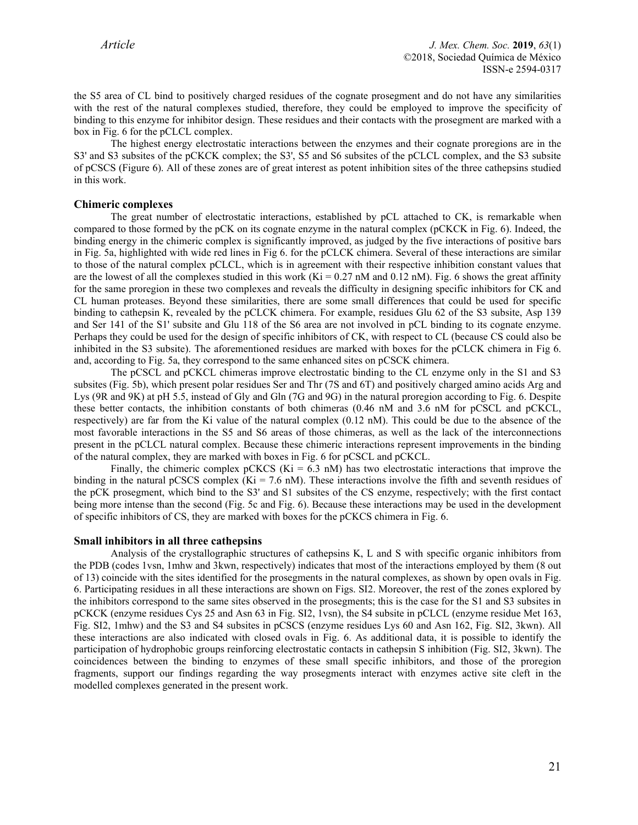the S5 area of CL bind to positively charged residues of the cognate prosegment and do not have any similarities with the rest of the natural complexes studied, therefore, they could be employed to improve the specificity of binding to this enzyme for inhibitor design. These residues and their contacts with the prosegment are marked with a box in Fig. 6 for the pCLCL complex.

The highest energy electrostatic interactions between the enzymes and their cognate proregions are in the S3' and S3 subsites of the pCKCK complex; the S3', S5 and S6 subsites of the pCLCL complex, and the S3 subsite of pCSCS (Figure 6). All of these zones are of great interest as potent inhibition sites of the three cathepsins studied in this work.

### **Chimeric complexes**

The great number of electrostatic interactions, established by pCL attached to CK, is remarkable when compared to those formed by the pCK on its cognate enzyme in the natural complex (pCKCK in Fig. 6). Indeed, the binding energy in the chimeric complex is significantly improved, as judged by the five interactions of positive bars in Fig. 5a, highlighted with wide red lines in Fig 6. for the pCLCK chimera. Several of these interactions are similar to those of the natural complex pCLCL, which is in agreement with their respective inhibition constant values that are the lowest of all the complexes studied in this work (Ki = 0.27 nM and 0.12 nM). Fig. 6 shows the great affinity for the same proregion in these two complexes and reveals the difficulty in designing specific inhibitors for CK and CL human proteases. Beyond these similarities, there are some small differences that could be used for specific binding to cathepsin K, revealed by the pCLCK chimera. For example, residues Glu 62 of the S3 subsite, Asp 139 and Ser 141 of the S1' subsite and Glu 118 of the S6 area are not involved in pCL binding to its cognate enzyme. Perhaps they could be used for the design of specific inhibitors of CK, with respect to CL (because CS could also be inhibited in the S3 subsite). The aforementioned residues are marked with boxes for the pCLCK chimera in Fig 6. and, according to Fig. 5a, they correspond to the same enhanced sites on pCSCK chimera.

The pCSCL and pCKCL chimeras improve electrostatic binding to the CL enzyme only in the S1 and S3 subsites (Fig. 5b), which present polar residues Ser and Thr (7S and 6T) and positively charged amino acids Arg and Lys (9R and 9K) at pH 5.5, instead of Gly and Gln (7G and 9G) in the natural proregion according to Fig. 6. Despite these better contacts, the inhibition constants of both chimeras (0.46 nM and 3.6 nM for pCSCL and pCKCL, respectively) are far from the Ki value of the natural complex (0.12 nM). This could be due to the absence of the most favorable interactions in the S5 and S6 areas of those chimeras, as well as the lack of the interconnections present in the pCLCL natural complex. Because these chimeric interactions represent improvements in the binding of the natural complex, they are marked with boxes in Fig. 6 for pCSCL and pCKCL.

Finally, the chimeric complex pCKCS ( $Ki = 6.3$  nM) has two electrostatic interactions that improve the binding in the natural pCSCS complex (Ki = 7.6 nM). These interactions involve the fifth and seventh residues of the pCK prosegment, which bind to the S3' and S1 subsites of the CS enzyme, respectively; with the first contact being more intense than the second (Fig. 5c and Fig. 6). Because these interactions may be used in the development of specific inhibitors of CS, they are marked with boxes for the pCKCS chimera in Fig. 6.

#### **Small inhibitors in all three cathepsins**

Analysis of the crystallographic structures of cathepsins K, L and S with specific organic inhibitors from the PDB (codes 1vsn, 1mhw and 3kwn, respectively) indicates that most of the interactions employed by them (8 out of 13) coincide with the sites identified for the prosegments in the natural complexes, as shown by open ovals in Fig. 6. Participating residues in all these interactions are shown on Figs. SI2. Moreover, the rest of the zones explored by the inhibitors correspond to the same sites observed in the prosegments; this is the case for the S1 and S3 subsites in pCKCK (enzyme residues Cys 25 and Asn 63 in Fig. SI2, 1vsn), the S4 subsite in pCLCL (enzyme residue Met 163, Fig. SI2, 1mhw) and the S3 and S4 subsites in pCSCS (enzyme residues Lys 60 and Asn 162, Fig. SI2, 3kwn). All these interactions are also indicated with closed ovals in Fig. 6. As additional data, it is possible to identify the participation of hydrophobic groups reinforcing electrostatic contacts in cathepsin S inhibition (Fig. SI2, 3kwn). The coincidences between the binding to enzymes of these small specific inhibitors, and those of the proregion fragments, support our findings regarding the way prosegments interact with enzymes active site cleft in the modelled complexes generated in the present work.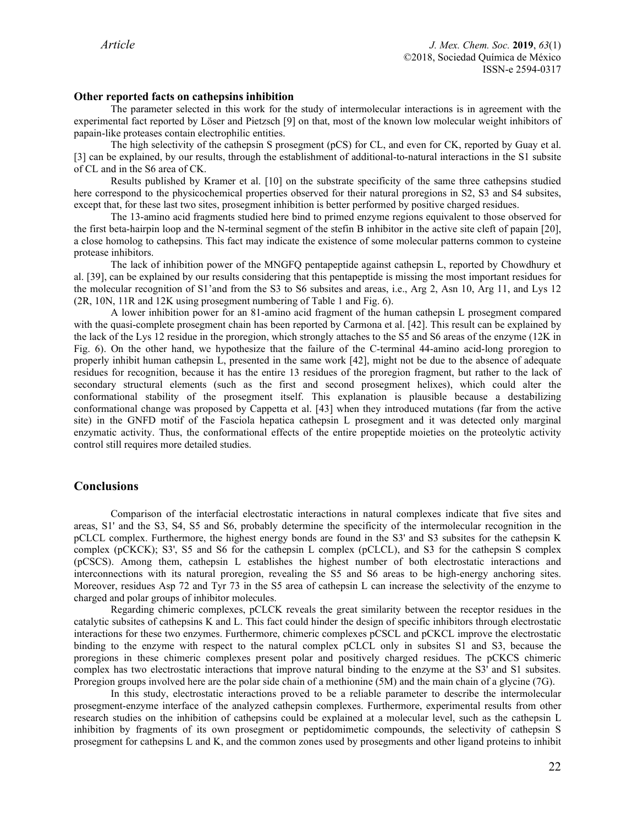#### **Other reported facts on cathepsins inhibition**

The parameter selected in this work for the study of intermolecular interactions is in agreement with the experimental fact reported by Löser and Pietzsch [9] on that, most of the known low molecular weight inhibitors of papain-like proteases contain electrophilic entities.

The high selectivity of the cathepsin S prosegment (pCS) for CL, and even for CK, reported by Guay et al. [3] can be explained, by our results, through the establishment of additional-to-natural interactions in the S1 subsite of CL and in the S6 area of CK.

Results published by Kramer et al. [10] on the substrate specificity of the same three cathepsins studied here correspond to the physicochemical properties observed for their natural proregions in S2, S3 and S4 subsites, except that, for these last two sites, prosegment inhibition is better performed by positive charged residues.

The 13-amino acid fragments studied here bind to primed enzyme regions equivalent to those observed for the first beta-hairpin loop and the N-terminal segment of the stefin B inhibitor in the active site cleft of papain [20], a close homolog to cathepsins. This fact may indicate the existence of some molecular patterns common to cysteine protease inhibitors.

The lack of inhibition power of the MNGFQ pentapeptide against cathepsin L, reported by Chowdhury et al. [39], can be explained by our results considering that this pentapeptide is missing the most important residues for the molecular recognition of S1'and from the S3 to S6 subsites and areas, i.e., Arg 2, Asn 10, Arg 11, and Lys 12 (2R, 10N, 11R and 12K using prosegment numbering of Table 1 and Fig. 6).

A lower inhibition power for an 81-amino acid fragment of the human cathepsin L prosegment compared with the quasi-complete prosegment chain has been reported by Carmona et al. [42]. This result can be explained by the lack of the Lys 12 residue in the proregion, which strongly attaches to the S5 and S6 areas of the enzyme (12K in Fig. 6). On the other hand, we hypothesize that the failure of the C-terminal 44-amino acid-long proregion to properly inhibit human cathepsin L, presented in the same work [42], might not be due to the absence of adequate residues for recognition, because it has the entire 13 residues of the proregion fragment, but rather to the lack of secondary structural elements (such as the first and second prosegment helixes), which could alter the conformational stability of the prosegment itself. This explanation is plausible because a destabilizing conformational change was proposed by Cappetta et al. [43] when they introduced mutations (far from the active site) in the GNFD motif of the Fasciola hepatica cathepsin L prosegment and it was detected only marginal enzymatic activity. Thus, the conformational effects of the entire propeptide moieties on the proteolytic activity control still requires more detailed studies.

## **Conclusions**

Comparison of the interfacial electrostatic interactions in natural complexes indicate that five sites and areas, S1' and the S3, S4, S5 and S6, probably determine the specificity of the intermolecular recognition in the pCLCL complex. Furthermore, the highest energy bonds are found in the S3' and S3 subsites for the cathepsin K complex (pCKCK); S3', S5 and S6 for the cathepsin L complex (pCLCL), and S3 for the cathepsin S complex (pCSCS). Among them, cathepsin L establishes the highest number of both electrostatic interactions and interconnections with its natural proregion, revealing the S5 and S6 areas to be high-energy anchoring sites. Moreover, residues Asp 72 and Tyr 73 in the S5 area of cathepsin L can increase the selectivity of the enzyme to charged and polar groups of inhibitor molecules.

Regarding chimeric complexes, pCLCK reveals the great similarity between the receptor residues in the catalytic subsites of cathepsins K and L. This fact could hinder the design of specific inhibitors through electrostatic interactions for these two enzymes. Furthermore, chimeric complexes pCSCL and pCKCL improve the electrostatic binding to the enzyme with respect to the natural complex pCLCL only in subsites S1 and S3, because the proregions in these chimeric complexes present polar and positively charged residues. The pCKCS chimeric complex has two electrostatic interactions that improve natural binding to the enzyme at the S3' and S1 subsites. Proregion groups involved here are the polar side chain of a methionine (5M) and the main chain of a glycine (7G).

In this study, electrostatic interactions proved to be a reliable parameter to describe the intermolecular prosegment-enzyme interface of the analyzed cathepsin complexes. Furthermore, experimental results from other research studies on the inhibition of cathepsins could be explained at a molecular level, such as the cathepsin L inhibition by fragments of its own prosegment or peptidomimetic compounds, the selectivity of cathepsin S prosegment for cathepsins L and K, and the common zones used by prosegments and other ligand proteins to inhibit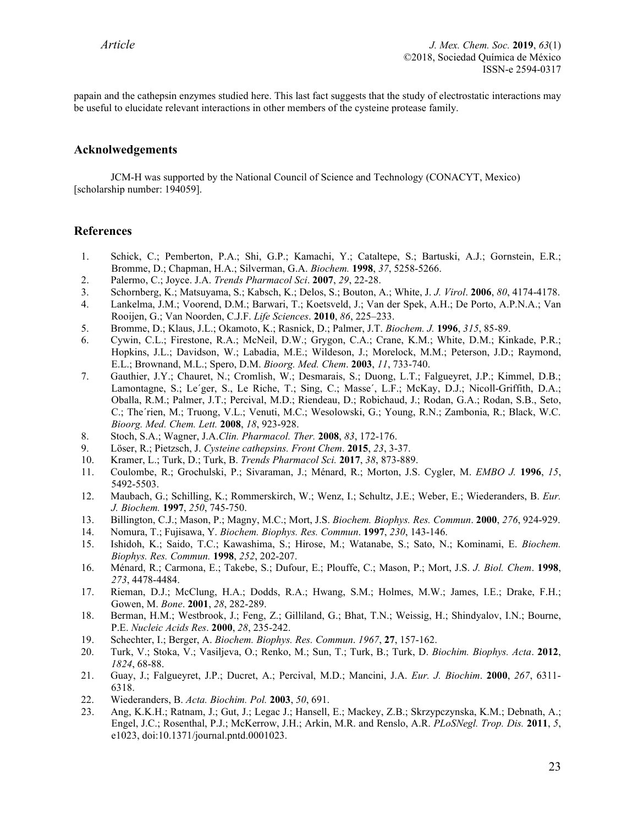papain and the cathepsin enzymes studied here. This last fact suggests that the study of electrostatic interactions may be useful to elucidate relevant interactions in other members of the cysteine protease family.

# **Acknolwedgements**

JCM-H was supported by the National Council of Science and Technology (CONACYT, Mexico) [scholarship number: 194059].

### **References**

- 1. Schick, C.; Pemberton, P.A.; Shi, G.P.; Kamachi, Y.; Cataltepe, S.; Bartuski, A.J.; Gornstein, E.R.; Bromme, D.; Chapman, H.A.; Silverman, G.A. *Biochem.* **1998**, *37*, 5258-5266.
- 2. Palermo, C.; Joyce. J.A. *Trends Pharmacol Sci*. **2007**, *29*, 22-28.
- 3. Schornberg, K.; Matsuyama, S.; Kabsch, K.; Delos, S.; Bouton, A.; White, J. *J. Virol*. **2006**, *80*, 4174-4178.
- 4. Lankelma, J.M.; Voorend, D.M.; Barwari, T.; Koetsveld, J.; Van der Spek, A.H.; De Porto, A.P.N.A.; Van Rooijen, G.; Van Noorden, C.J.F. *Life Sciences*. **2010**, *86*, 225–233.
- 5. Bromme, D.; Klaus, J.L.; Okamoto, K.; Rasnick, D.; Palmer, J.T. *Biochem. J.* **1996**, *315*, 85-89.
- 6. Cywin, C.L.; Firestone, R.A.; McNeil, D.W.; Grygon, C.A.; Crane, K.M.; White, D.M.; Kinkade, P.R.; Hopkins, J.L.; Davidson, W.; Labadia, M.E.; Wildeson, J.; Morelock, M.M.; Peterson, J.D.; Raymond, E.L.; Brownand, M.L.; Spero, D.M. *Bioorg. Med. Chem*. **2003**, *11*, 733-740.
- 7. Gauthier, J.Y.; Chauret, N.; Cromlish, W.; Desmarais, S.; Duong, L.T.; Falgueyret, J.P.; Kimmel, D.B.; Lamontagne, S.; Le'ger, S., Le Riche, T.; Sing, C.; Masse', L.F.; McKay, D.J.; Nicoll-Griffith, D.A.; Oballa, R.M.; Palmer, J.T.; Percival, M.D.; Riendeau, D.; Robichaud, J.; Rodan, G.A.; Rodan, S.B., Seto, C.; The´rien, M.; Truong, V.L.; Venuti, M.C.; Wesolowski, G.; Young, R.N.; Zambonia, R.; Black, W.C. *Bioorg. Med. Chem. Lett.* **2008**, *18*, 923-928.
- 8. Stoch, S.A.; Wagner, J.A.*Clin. Pharmacol. Ther.* **2008**, *83*, 172-176.
- 9. Löser, R.; Pietzsch, J. *Cysteine cathepsins. Front Chem*. **2015**, *23*, 3-37.
- 10. Kramer, L.; Turk, D.; Turk, B. *Trends Pharmacol Sci.* **2017**, *38*, 873-889.
- 11. Coulombe, R.; Grochulski, P.; Sivaraman, J.; Ménard, R.; Morton, J.S. Cygler, M. *EMBO J.* **1996**, *15*, 5492-5503.
- 12. Maubach, G.; Schilling, K.; Rommerskirch, W.; Wenz, I.; Schultz, J.E.; Weber, E.; Wiederanders, B. *Eur. J. Biochem.* **1997**, *250*, 745-750.
- 13. Billington, C.J.; Mason, P.; Magny, M.C.; Mort, J.S. *Biochem. Biophys. Res. Commun*. **2000**, *276*, 924-929.
- 14. Nomura, T.; Fujisawa, Y. *Biochem. Biophys. Res. Commun*. **1997**, *230*, 143-146.
- 15. Ishidoh, K.; Saido, T.C.; Kawashima, S.; Hirose, M.; Watanabe, S.; Sato, N.; Kominami, E. *Biochem. Biophys. Res. Commun.* **1998**, *252*, 202-207.
- 16. Ménard, R.; Carmona, E.; Takebe, S.; Dufour, E.; Plouffe, C.; Mason, P.; Mort, J.S. *J. Biol. Chem*. **1998**, *273*, 4478-4484.
- 17. Rieman, D.J.; McClung, H.A.; Dodds, R.A.; Hwang, S.M.; Holmes, M.W.; James, I.E.; Drake, F.H.; Gowen, M. *Bone*. **2001**, *28*, 282-289.
- 18. Berman, H.M.; Westbrook, J.; Feng, Z.; Gilliland, G.; Bhat, T.N.; Weissig, H.; Shindyalov, I.N.; Bourne, P.E. *Nucleic Acids Res*. **2000**, *28*, 235-242.
- 19. Schechter, I.; Berger, A. *Biochem. Biophys. Res. Commun*. *1967*, **27**, 157-162.
- 20. Turk, V.; Stoka, V.; Vasiljeva, O.; Renko, M.; Sun, T.; Turk, B.; Turk, D. *Biochim. Biophys. Acta*. **2012**, *1824*, 68-88.
- 21. Guay, J.; Falgueyret, J.P.; Ducret, A.; Percival, M.D.; Mancini, J.A. *Eur. J. Biochim*. **2000**, *267*, 6311- 6318.
- 22. Wiederanders, B. *Acta. Biochim. Pol.* **2003**, *50*, 691.
- 23. Ang, K.K.H.; Ratnam, J.; Gut, J.; Legac J.; Hansell, E.; Mackey, Z.B.; Skrzypczynska, K.M.; Debnath, A.; Engel, J.C.; Rosenthal, P.J.; McKerrow, J.H.; Arkin, M.R. and Renslo, A.R. *PLoSNegl. Trop. Dis.* **2011**, *5*, e1023, doi:10.1371/journal.pntd.0001023.